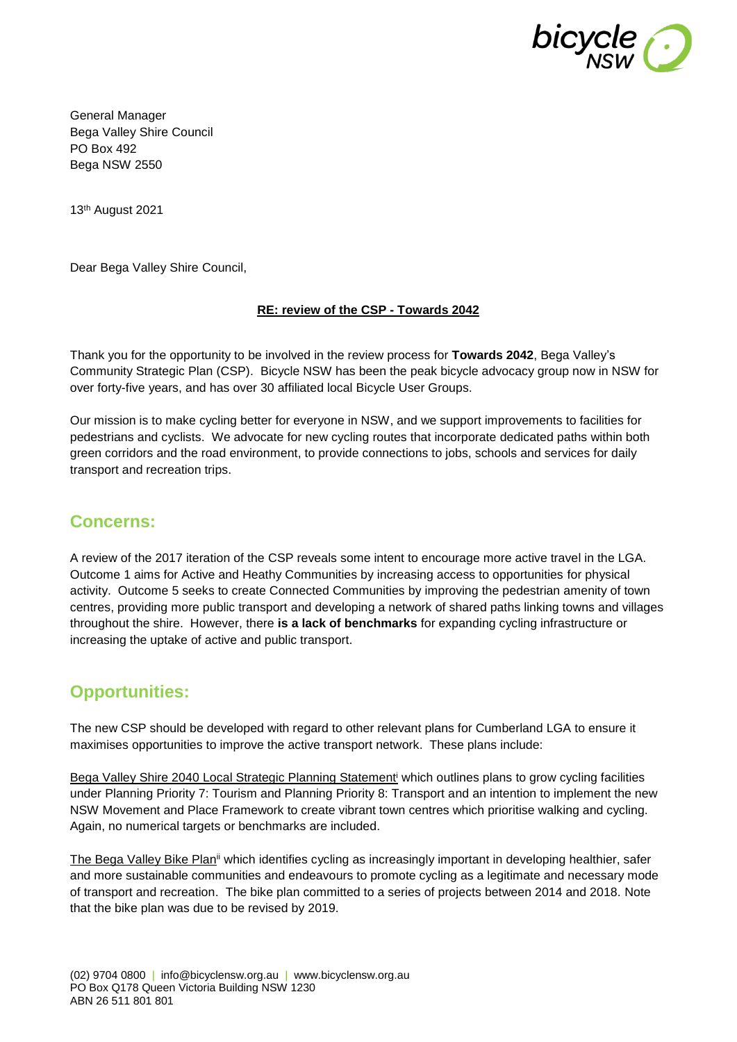

General Manager Bega Valley Shire Council PO Box 492 Bega NSW 2550

13th August 2021

Dear Bega Valley Shire Council,

## **RE: review of the CSP - Towards 2042**

Thank you for the opportunity to be involved in the review process for **Towards 2042**, Bega Valley's Community Strategic Plan (CSP). Bicycle NSW has been the peak bicycle advocacy group now in NSW for over forty-five years, and has over 30 affiliated local Bicycle User Groups.

Our mission is to make cycling better for everyone in NSW, and we support improvements to facilities for pedestrians and cyclists. We advocate for new cycling routes that incorporate dedicated paths within both green corridors and the road environment, to provide connections to jobs, schools and services for daily transport and recreation trips.

# **Concerns:**

A review of the 2017 iteration of the CSP reveals some intent to encourage more active travel in the LGA. Outcome 1 aims for Active and Heathy Communities by increasing access to opportunities for physical activity. Outcome 5 seeks to create Connected Communities by improving the pedestrian amenity of town centres, providing more public transport and developing a network of shared paths linking towns and villages throughout the shire. However, there **is a lack of benchmarks** for expanding cycling infrastructure or increasing the uptake of active and public transport.

# **Opportunities:**

The new CSP should be developed with regard to other relevant plans for Cumberland LGA to ensure it maximises opportunities to improve the active transport network. These plans include:

Bega Valley Shire 2040 Local Strategic Planning Statement<sup>i</sup> which outlines plans to grow cycling facilities under Planning Priority 7: Tourism and Planning Priority 8: Transport and an intention to implement the new NSW Movement and Place Framework to create vibrant town centres which prioritise walking and cycling. Again, no numerical targets or benchmarks are included.

The Bega Valley Bike Plan<sup>ii</sup> which identifies cycling as increasingly important in developing healthier, safer and more sustainable communities and endeavours to promote cycling as a legitimate and necessary mode of transport and recreation. The bike plan committed to a series of projects between 2014 and 2018. Note that the bike plan was due to be revised by 2019.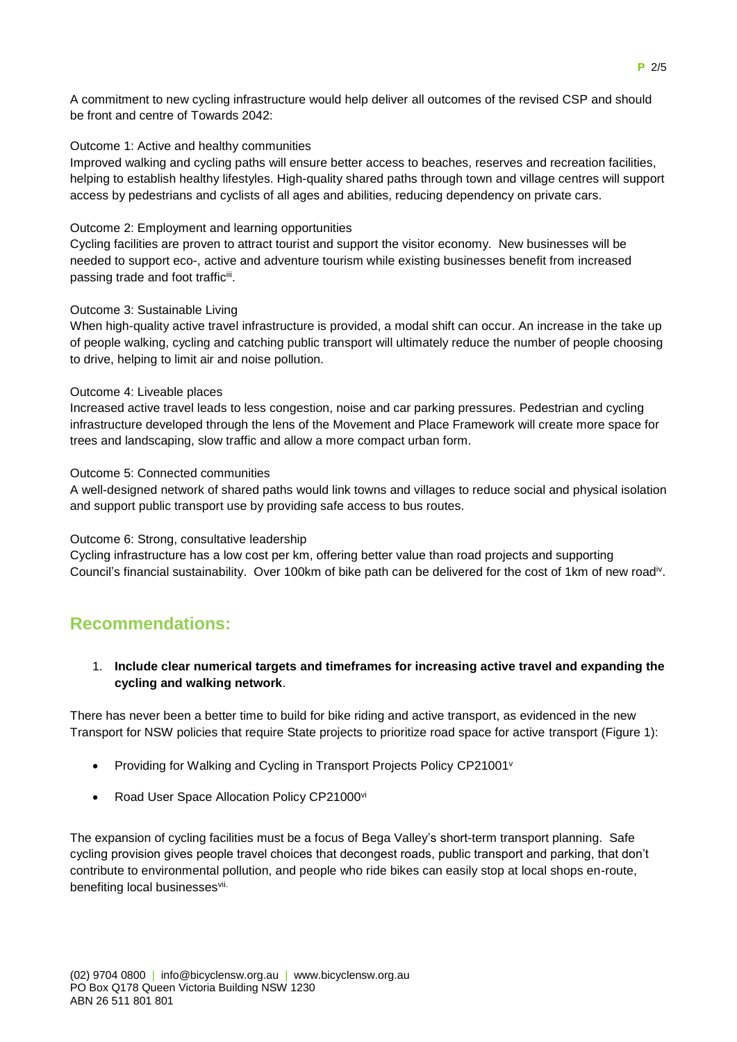A commitment to new cycling infrastructure would help deliver all outcomes of the revised CSP and should be front and centre of Towards 2042:

#### Outcome 1: Active and healthy communities

Improved walking and cycling paths will ensure better access to beaches, reserves and recreation facilities, helping to establish healthy lifestyles. High-quality shared paths through town and village centres will support access by pedestrians and cyclists of all ages and abilities, reducing dependency on private cars.

#### Outcome 2: Employment and learning opportunities

Cycling facilities are proven to attract tourist and support the visitor economy. New businesses will be needed to support eco-, active and adventure tourism while existing businesses benefit from increased passing trade and foot trafficiii.

#### Outcome 3: Sustainable Living

When high-quality active travel infrastructure is provided, a modal shift can occur. An increase in the take up of people walking, cycling and catching public transport will ultimately reduce the number of people choosing to drive, helping to limit air and noise pollution.

#### Outcome 4: Liveable places

Increased active travel leads to less congestion, noise and car parking pressures. Pedestrian and cycling infrastructure developed through the lens of the Movement and Place Framework will create more space for trees and landscaping, slow traffic and allow a more compact urban form.

#### Outcome 5: Connected communities

A well-designed network of shared paths would link towns and villages to reduce social and physical isolation and support public transport use by providing safe access to bus routes.

#### Outcome 6: Strong, consultative leadership

Cycling infrastructure has a low cost per km, offering better value than road projects and supporting Council's financial sustainability. Over 100km of bike path can be delivered for the cost of 1km of new road<sup>iv</sup>.

# **Recommendations:**

## 1. **Include clear numerical targets and timeframes for increasing active travel and expanding the cycling and walking network**.

There has never been a better time to build for bike riding and active transport, as evidenced in the new Transport for NSW policies that require State projects to prioritize road space for active transport (Figure 1):

- Providing for Walking and Cycling in Transport Projects Policy CP21001<sup>v</sup>
- Road User Space Allocation Policy CP21000vi

The expansion of cycling facilities must be a focus of Bega Valley's short-term transport planning. Safe cycling provision gives people travel choices that decongest roads, public transport and parking, that don't contribute to environmental pollution, and people who ride bikes can easily stop at local shops en-route, benefiting local businessesvii.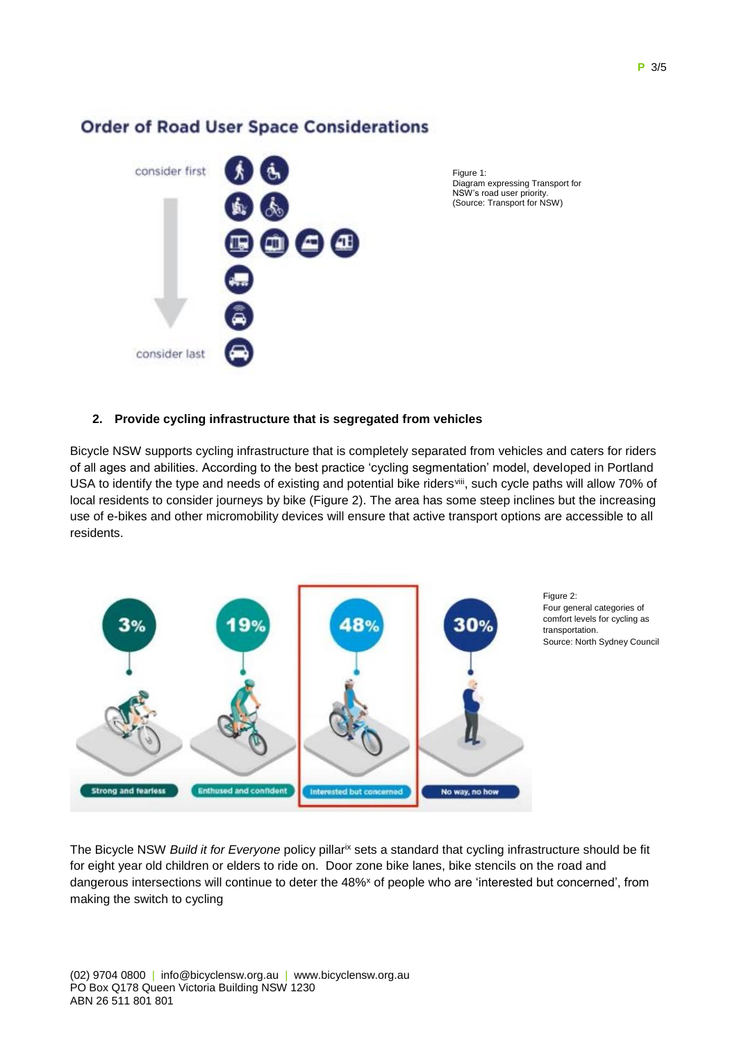

**Order of Road User Space Considerations** 

Figure 1: Diagram expressing Transport for NSW's road user priority. (Source: Transport for NSW)

# **2. Provide cycling infrastructure that is segregated from vehicles**

Bicycle NSW supports cycling infrastructure that is completely separated from vehicles and caters for riders of all ages and abilities. According to the best practice 'cycling segmentation' model, developed in Portland USA to identify the type and needs of existing and potential bike riders<sup>viii</sup>, such cycle paths will allow 70% of local residents to consider journeys by bike (Figure 2). The area has some steep inclines but the increasing use of e-bikes and other micromobility devices will ensure that active transport options are accessible to all residents.



The Bicycle NSW *Build it for Everyone* policy pillar<sup>ix</sup> sets a standard that cycling infrastructure should be fit for eight year old children or elders to ride on. Door zone bike lanes, bike stencils on the road and dangerous intersections will continue to deter the 48%<sup>x</sup> of people who are 'interested but concerned', from making the switch to cycling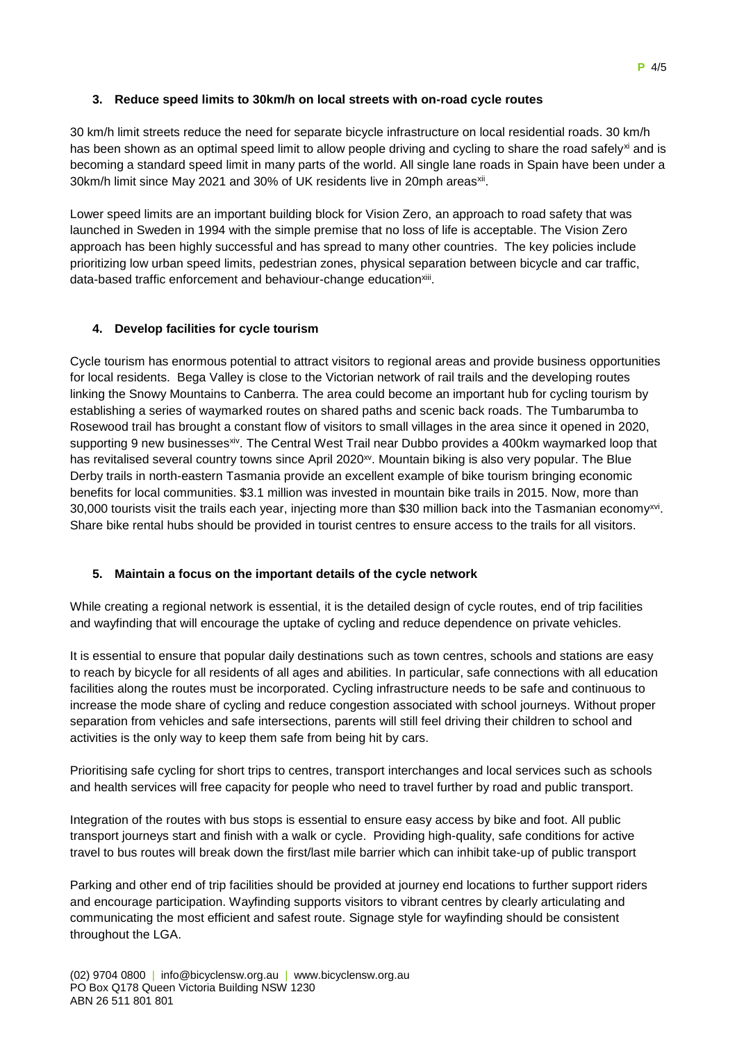# **3. Reduce speed limits to 30km/h on local streets with on-road cycle routes**

30 km/h limit streets reduce the need for separate bicycle infrastructure on local residential roads. 30 km/h has been shown as an optimal speed limit to allow people driving and cycling to share the road safely<sup>xi</sup> and is becoming a standard speed limit in many parts of the world. All single lane roads in Spain have been under a 30km/h limit since May 2021 and 30% of UK residents live in 20mph areas<sup>xii</sup>.

Lower speed limits are an important building block for Vision Zero, an approach to road safety that was launched in Sweden in 1994 with the simple premise that no loss of life is acceptable. The Vision Zero approach has been highly successful and has spread to many other countries. The key policies include prioritizing low urban speed limits, pedestrian zones, physical separation between bicycle and car traffic, data-based traffic enforcement and behaviour-change education<sup>xiii</sup>.

## **4. Develop facilities for cycle tourism**

Cycle tourism has enormous potential to attract visitors to regional areas and provide business opportunities for local residents. Bega Valley is close to the Victorian network of rail trails and the developing routes linking the Snowy Mountains to Canberra. The area could become an important hub for cycling tourism by establishing a series of waymarked routes on shared paths and scenic back roads. The Tumbarumba to Rosewood trail has brought a constant flow of visitors to small villages in the area since it opened in 2020, supporting 9 new businesses<sup>xiv</sup>. The Central West Trail near Dubbo provides a 400km waymarked loop that has revitalised several country towns since April 2020<sup>xv</sup>. Mountain biking is also very popular. The Blue Derby trails in north-eastern Tasmania provide an excellent example of bike tourism bringing economic benefits for local communities. \$3.1 million was invested in mountain bike trails in 2015. Now, more than 30,000 tourists visit the trails each year, injecting more than \$30 million back into the Tasmanian economy<sup>xvi</sup>. Share bike rental hubs should be provided in tourist centres to ensure access to the trails for all visitors.

#### **5. Maintain a focus on the important details of the cycle network**

While creating a regional network is essential, it is the detailed design of cycle routes, end of trip facilities and wayfinding that will encourage the uptake of cycling and reduce dependence on private vehicles.

It is essential to ensure that popular daily destinations such as town centres, schools and stations are easy to reach by bicycle for all residents of all ages and abilities. In particular, safe connections with all education facilities along the routes must be incorporated. Cycling infrastructure needs to be safe and continuous to increase the mode share of cycling and reduce congestion associated with school journeys. Without proper separation from vehicles and safe intersections, parents will still feel driving their children to school and activities is the only way to keep them safe from being hit by cars.

Prioritising safe cycling for short trips to centres, transport interchanges and local services such as schools and health services will free capacity for people who need to travel further by road and public transport.

Integration of the routes with bus stops is essential to ensure easy access by bike and foot. All public transport journeys start and finish with a walk or cycle. Providing high-quality, safe conditions for active travel to bus routes will break down the first/last mile barrier which can inhibit take-up of public transport

Parking and other end of trip facilities should be provided at journey end locations to further support riders and encourage participation. Wayfinding supports visitors to vibrant centres by clearly articulating and communicating the most efficient and safest route. Signage style for wayfinding should be consistent throughout the LGA.